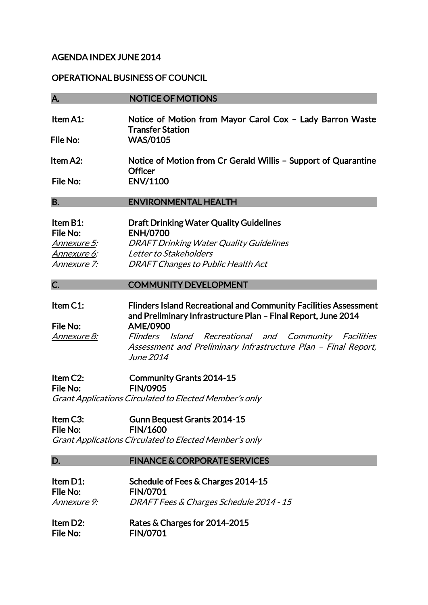## AGENDA INDEX JUNE 2014

## OPERATIONAL BUSINESS OF COUNCIL

| A.                                                        | <b>NOTICE OF MOTIONS</b>                                                                                                                              |
|-----------------------------------------------------------|-------------------------------------------------------------------------------------------------------------------------------------------------------|
| Item A1:                                                  | Notice of Motion from Mayor Carol Cox - Lady Barron Waste<br><b>Transfer Station</b>                                                                  |
| <b>File No:</b>                                           | <b>WAS/0105</b>                                                                                                                                       |
| Item A2:                                                  | Notice of Motion from Cr Gerald Willis - Support of Quarantine<br><b>Officer</b>                                                                      |
| File No:                                                  | <b>ENV/1100</b>                                                                                                                                       |
| <b>B.</b>                                                 | <b>ENVIRONMENTAL HEALTH</b>                                                                                                                           |
| Item B1:<br>File No:<br>Annexure 5:<br><u>Annexure 6:</u> | <b>Draft Drinking Water Quality Guidelines</b><br><b>ENH/0700</b><br><b>DRAFT Drinking Water Quality Guidelines</b><br>Letter to Stakeholders         |
| Annexure 7:                                               | <b>DRAFT Changes to Public Health Act</b>                                                                                                             |
| C.                                                        | <b>COMMUNITY DEVELOPMENT</b>                                                                                                                          |
| Item C1:                                                  | <b>Flinders Island Recreational and Community Facilities Assessment</b><br>and Preliminary Infrastructure Plan - Final Report, June 2014              |
| File No:                                                  | AME/0900                                                                                                                                              |
| <i>Annexure 8:</i>                                        | Island Recreational and Community Facilities<br><i>Flinders</i><br>Assessment and Preliminary Infrastructure Plan - Final Report,<br><b>June 2014</b> |
| Item C2:<br><b>File No:</b>                               | <b>Community Grants 2014-15</b><br><b>FIN/0905</b>                                                                                                    |
|                                                           | Grant Applications Circulated to Elected Member's only                                                                                                |
| ltam C?·                                                  | Gunn Request Grants 2014-15                                                                                                                           |

Item C3: Gunn Bequest Grants 2014-15 FIN/1600 Grant Applications Circulated to Elected Member's only

## D. FINANCE & CORPORATE SERVICES

| Item D1:    | Schedule of Fees & Charges 2014-15                 |
|-------------|----------------------------------------------------|
| File No:    | <b>FIN/0701</b>                                    |
| Annexure 9: | <b>DRAFT Fees &amp; Charges Schedule 2014 - 15</b> |
| Item D2:    | Rates & Charges for 2014-2015                      |
| File No:    | <b>FIN/0701</b>                                    |